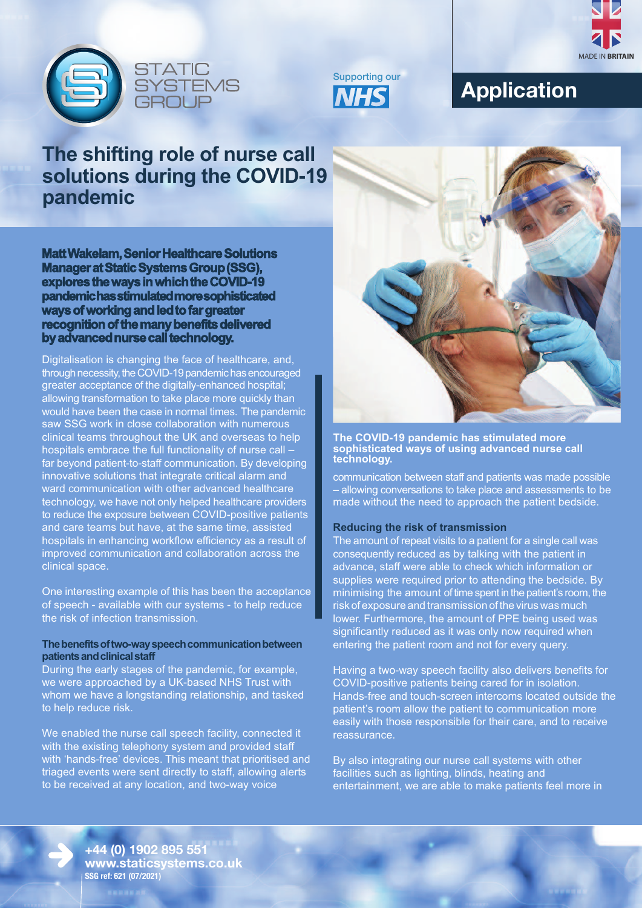





# **Application**

## **The shifting role of nurse call solutions during the COVID-19 pandemic**

**Matt Wakelam, Senior Healthcare Solutions Manager at Static Systems Group (SSG), explores the ways in which the COVID-19 pandemic has stimulated more sophisticated ways of working and led to far greater recognition of the many benefits delivered by advanced nurse call technology.**

Digitalisation is changing the face of healthcare, and, through necessity, the COVID-19 pandemic has encouraged greater acceptance of the digitally-enhanced hospital; allowing transformation to take place more quickly than would have been the case in normal times. The pandemic saw SSG work in close collaboration with numerous clinical teams throughout the UK and overseas to help hospitals embrace the full functionality of nurse call – far beyond patient-to-staff communication. By developing innovative solutions that integrate critical alarm and ward communication with other advanced healthcare technology, we have not only helped healthcare providers to reduce the exposure between COVID-positive patients and care teams but have, at the same time, assisted hospitals in enhancing workflow efficiency as a result of improved communication and collaboration across the clinical space.

One interesting example of this has been the acceptance of speech - available with our systems - to help reduce the risk of infection transmission.

## **The benefits of two-way speech communication between patients and clinical staff**

During the early stages of the pandemic, for example, we were approached by a UK-based NHS Trust with whom we have a longstanding relationship, and tasked to help reduce risk.

We enabled the nurse call speech facility, connected it with the existing telephony system and provided staff with 'hands-free' devices. This meant that prioritised and triaged events were sent directly to staff, allowing alerts to be received at any location, and two-way voice



**The COVID-19 pandemic has stimulated more sophisticated ways of using advanced nurse call technology.** 

communication between staff and patients was made possible – allowing conversations to take place and assessments to be made without the need to approach the patient bedside.

## **Reducing the risk of transmission**

The amount of repeat visits to a patient for a single call was consequently reduced as by talking with the patient in advance, staff were able to check which information or supplies were required prior to attending the bedside. By minimising the amount of time spent in the patient's room, the risk of exposure and transmission of the virus was much lower. Furthermore, the amount of PPE being used was significantly reduced as it was only now required when entering the patient room and not for every query.

Having a two-way speech facility also delivers benefits for COVID-positive patients being cared for in isolation. Hands-free and touch-screen intercoms located outside the patient's room allow the patient to communication more easily with those responsible for their care, and to receive reassurance.

By also integrating our nurse call systems with other facilities such as lighting, blinds, heating and entertainment, we are able to make patients feel more in

**+44 (0) 1902 895 551 www.staticsystems.co.uk SSG ref: 621 (07/2021)**